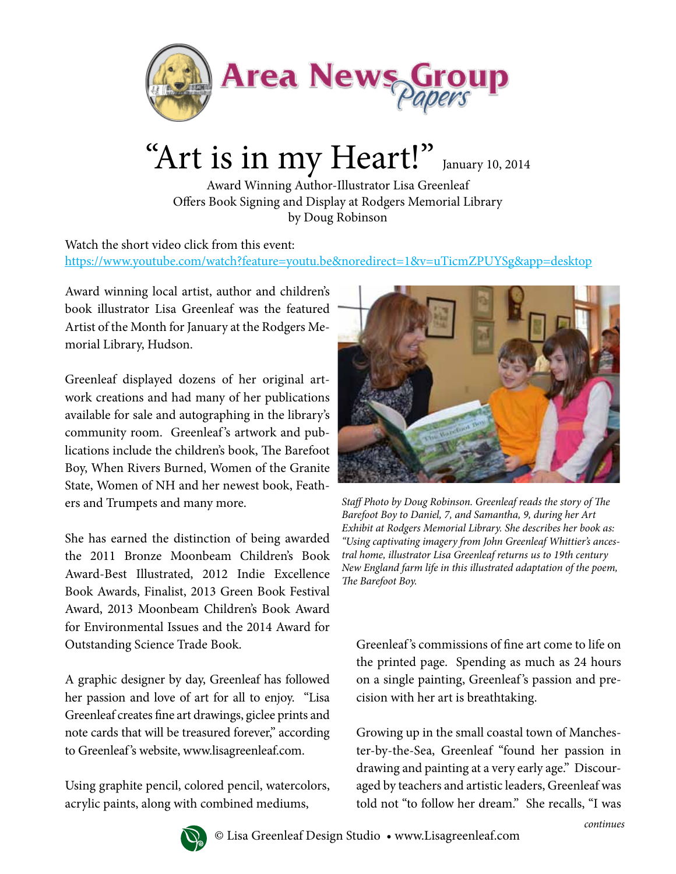

## "Art is in my Heart!" January 10, 2014

Award Winning Author-Illustrator Lisa Greenleaf Offers Book Signing and Display at Rodgers Memorial Library by Doug Robinson

Watch the short video click from this event: https://www.youtube.com/watch?feature=youtu.be&noredirect=1&v=uTicmZPUYSg&app=desktop

Award winning local artist, author and children's book illustrator Lisa Greenleaf was the featured Artist of the Month for January at the Rodgers Memorial Library, Hudson.

Greenleaf displayed dozens of her original artwork creations and had many of her publications available for sale and autographing in the library's community room. Greenleaf 's artwork and publications include the children's book, The Barefoot Boy, When Rivers Burned, Women of the Granite State, Women of NH and her newest book, Feathers and Trumpets and many more.

She has earned the distinction of being awarded the 2011 Bronze Moonbeam Children's Book Award-Best Illustrated, 2012 Indie Excellence Book Awards, Finalist, 2013 Green Book Festival Award, 2013 Moonbeam Children's Book Award for Environmental Issues and the 2014 Award for Outstanding Science Trade Book.

A graphic designer by day, Greenleaf has followed her passion and love of art for all to enjoy. "Lisa Greenleaf creates fine art drawings, giclee prints and note cards that will be treasured forever," according to Greenleaf's website, www.lisagreenleaf.com.

Using graphite pencil, colored pencil, watercolors, acrylic paints, along with combined mediums,



*Staff Photo by Doug Robinson. Greenleaf reads the story of The Barefoot Boy to Daniel, 7, and Samantha, 9, during her Art Exhibit at Rodgers Memorial Library. She describes her book as: "Using captivating imagery from John Greenleaf Whittier's ancestral home, illustrator Lisa Greenleaf returns us to 19th century New England farm life in this illustrated adaptation of the poem, The Barefoot Boy.*

Greenleaf 's commissions of fine art come to life on the printed page. Spending as much as 24 hours on a single painting, Greenleaf 's passion and precision with her art is breathtaking.

Growing up in the small coastal town of Manchester-by-the-Sea, Greenleaf "found her passion in drawing and painting at a very early age." Discouraged by teachers and artistic leaders, Greenleaf was told not "to follow her dream." She recalls, "I was